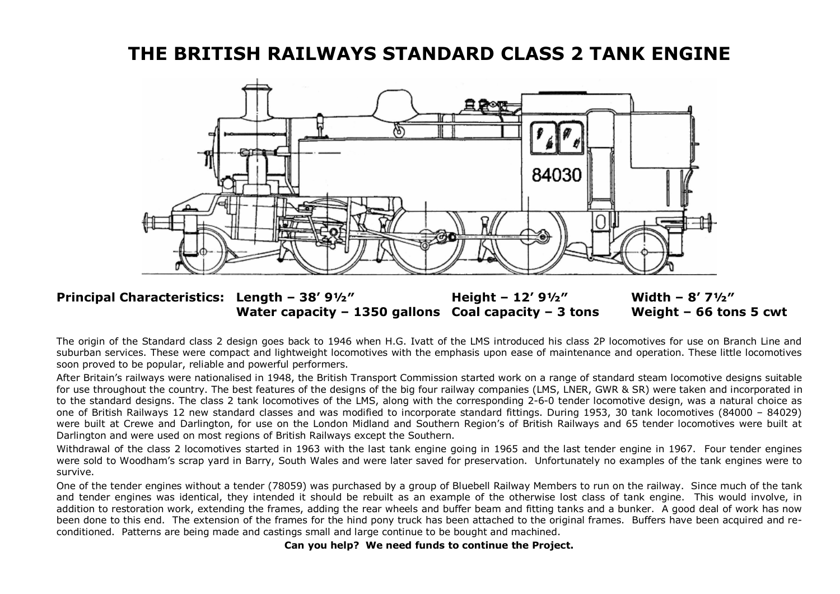# **THE BRITISH RAILWAYS STANDARD CLASS 2 TANK ENGINE**



## **Principal Characteristics: Length – 38' 9½″ Height – 12' 9½″ Width – 8' 7½″ Water capacity – 1350 gallons Coal capacity – 3 tons Weight – 66 tons 5 cwt**

The origin of the Standard class 2 design goes back to 1946 when H.G. Ivatt of the LMS introduced his class 2P locomotives for use on Branch Line and suburban services. These were compact and lightweight locomotives with the emphasis upon ease of maintenance and operation. These little locomotives soon proved to be popular, reliable and powerful performers.

After Britain's railways were nationalised in 1948, the British Transport Commission started work on a range of standard steam locomotive designs suitable for use throughout the country. The best features of the designs of the big four railway companies (LMS, LNER, GWR & SR) were taken and incorporated in to the standard designs. The class 2 tank locomotives of the LMS, along with the corresponding 2-6-0 tender locomotive design, was a natural choice as one of British Railways 12 new standard classes and was modified to incorporate standard fittings. During 1953, 30 tank locomotives (84000 – 84029) were built at Crewe and Darlington, for use on the London Midland and Southern Region's of British Railways and 65 tender locomotives were built at Darlington and were used on most regions of British Railways except the Southern.

Withdrawal of the class 2 locomotives started in 1963 with the last tank engine going in 1965 and the last tender engine in 1967. Four tender engines were sold to Woodham's scrap yard in Barry, South Wales and were later saved for preservation. Unfortunately no examples of the tank engines were to survive.

One of the tender engines without a tender (78059) was purchased by a group of Bluebell Railway Members to run on the railway. Since much of the tank and tender engines was identical, they intended it should be rebuilt as an example of the otherwise lost class of tank engine. This would involve, in addition to restoration work, extending the frames, adding the rear wheels and buffer beam and fitting tanks and a bunker. A good deal of work has now been done to this end. The extension of the frames for the hind pony truck has been attached to the original frames. Buffers have been acquired and reconditioned. Patterns are being made and castings small and large continue to be bought and machined.

**Can you help? We need funds to continue the Project.**